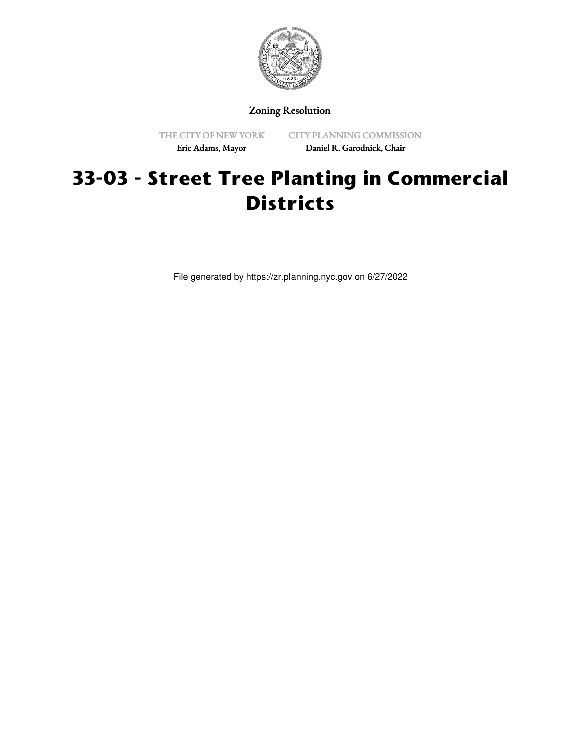

Zoning Resolution

THE CITY OF NEW YORK Eric Adams, Mayor

CITY PLANNING COMMISSION Daniel R. Garodnick, Chair

## **33-03 - Street Tree Planting in Commercial Districts**

File generated by https://zr.planning.nyc.gov on 6/27/2022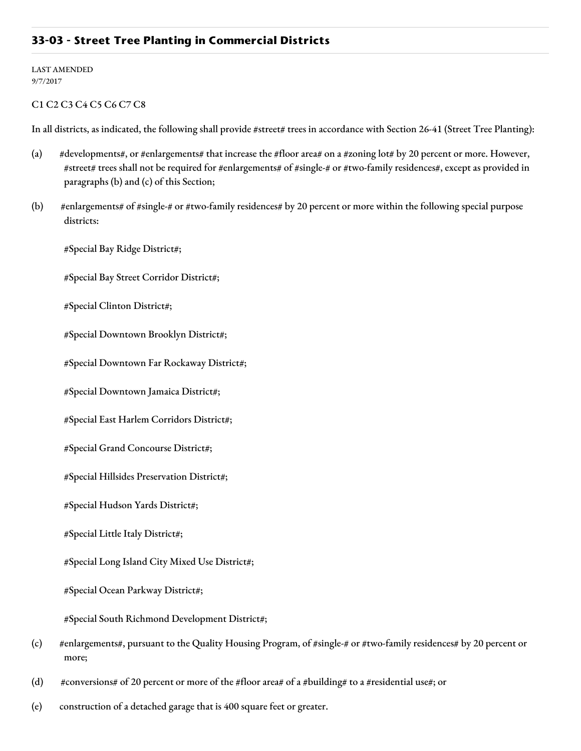## **33-03 - Street Tree Planting in Commercial Districts**

LAST AMENDED 9/7/2017

## C1 C2 C3 C4 C5 C6 C7 C8

In all districts, as indicated, the following shall provide #street# trees in accordance with Section 26-41 (Street Tree Planting):

- (a) #developments#, or #enlargements# that increase the #floor area# on a #zoning lot# by 20 percent or more. However, #street# trees shall not be required for #enlargements# of #single-# or #two-family residences#, except as provided in paragraphs (b) and (c) of this Section;
- (b) #enlargements# of #single-# or #two-family residences# by 20 percent or more within the following special purpose districts:

#Special Bay Ridge District#;

#Special Bay Street Corridor District#;

#Special Clinton District#;

#Special Downtown Brooklyn District#;

#Special Downtown Far Rockaway District#;

#Special Downtown Jamaica District#;

#Special East Harlem Corridors District#;

#Special Grand Concourse District#;

#Special Hillsides Preservation District#;

#Special Hudson Yards District#;

#Special Little Italy District#;

#Special Long Island City Mixed Use District#;

#Special Ocean Parkway District#;

#Special South Richmond Development District#;

- (c) #enlargements#, pursuant to the Quality Housing Program, of #single-# or #two-family residences# by 20 percent or more;
- (d)  $\#conversions\# of 20$  percent or more of the #floor area# of a #building# to a #residential use#; or
- (e) construction of a detached garage that is 400 square feet or greater.